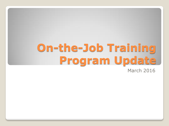# **On-the-Job Training Program Update**

March 2016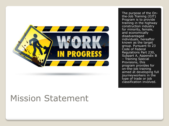

# Mission Statement

The purpose of the On the -Job Training (OJT) Program is to provide training in the highway construction industry for minority, female, and economically disadvantaged individuals, hereafter known as the target group. Pursuant to 23 Code of Federal Regulations Part 230, Subpart A, Appendix B – Training Special Provisions, this program provides for on -the -job training aimed at developing full journeyworkers in the type of trade or job classification involved.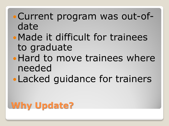# Current program was out-ofdate

- Made it difficult for trainees to graduate
- Hard to move trainees where needed
- Lacked guidance for trainers

# **Why Update?**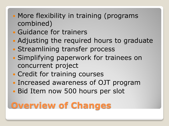- More flexibility in training (programs combined)
- Guidance for trainers
- Adjusting the required hours to graduate
- Streamlining transfer process
- Simplifying paperwork for trainees on concurrent project
- Credit for training courses
- Increased awareness of OJT program
- Bid Item now 500 hours per slot

## **Overview of Changes**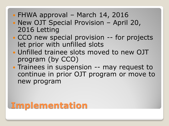- FHWA approval March 14, 2016
- New OJT Special Provision April 20, 2016 Letting
- CCO new special provision -- for projects let prior with unfilled slots
- Unfilled trainee slots moved to new OJT program (by CCO)
- Trainees in suspension -- may request to continue in prior OJT program or move to new program

## **Implementation**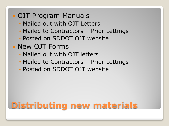## OJT Program Manuals

- Mailed out with OJT Letters
- Mailed to Contractors Prior Lettings
- Posted on SDDOT OJT website
- New OJT Forms
	- Mailed out with OJT letters
	- Mailed to Contractors Prior Lettings
	- Posted on SDDOT OJT website

# **Distributing new materials**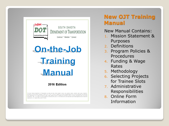

SOUTH DAKOTA DEPARTMENT OF TRANSPORTATION Construct ~ Maintain ~ Connect

On-the-Job **Training Manual** 

### 2016 Edition

.<br>The South Dakota Department of Transportation provides services without regard to race, color, gender, religion, national origin, age or disability according to the provisions contained in 8DCL 20-13, Title VI of the Civil Rights Act of 1964, the Rehabilitation Act of 1973, as amended, the Americans With Disabilities, Act of 1990 and Executive Orler 19998. Federal Actions to Address Environmental Justice in Minodix Populations and Low-Income Populations, 1994. Any person who has questions concerning this policy or who believes he or she has been discriminated against should contact the Department's Civil Rights Office at 605-773-3540.

## **New OJT Training Manual**

### New Manual Contains:

- 1. Mission Statement & Purposes
- 2. Definitions
- 3. Program Policies & Procedures
- 4. Funding & Wage Rates
- 5. Methodology
- 6. Selecting Projects for Trainee Slots
- 7. Administrative Responsibilities
- 8. Online Form Information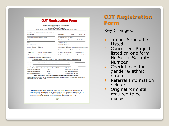|                                                                                                                                                                  | <b>South Dakota Department of Transportation</b>                                     |                                                      |                         |              |                      |  |
|------------------------------------------------------------------------------------------------------------------------------------------------------------------|--------------------------------------------------------------------------------------|------------------------------------------------------|-------------------------|--------------|----------------------|--|
|                                                                                                                                                                  | <b>Civil Rights Program</b><br><b>On-the-Job Training Program</b>                    |                                                      |                         |              |                      |  |
|                                                                                                                                                                  | (Please print or type all information. See additional instructions on back of form.) |                                                      |                         |              |                      |  |
| THIS PORTION IS TO BE COMPLETED BY CONTRACTOR.                                                                                                                   |                                                                                      |                                                      |                         |              |                      |  |
| <b>Trainee Name</b>                                                                                                                                              |                                                                                      | Contractor                                           | Prime (                 | $\mathbf{r}$ | Sub (                |  |
| Street Address; Route/Box; Box Number                                                                                                                            | Project Number, PCN Number                                                           |                                                      |                         |              |                      |  |
| City, State, Zip                                                                                                                                                 |                                                                                      | Prior Hours Start Date                               |                         |              | <b>Starting Wage</b> |  |
| Trainer                                                                                                                                                          | <b>Training Program</b>                                                              |                                                      |                         |              |                      |  |
| <b>Trainee Signature</b>                                                                                                                                         | Contractor Signature                                                                 |                                                      |                         |              |                      |  |
| Gender: Male Female                                                                                                                                              |                                                                                      | Ethnic Group: Native Hawaiian/Other Pacific Islander |                         |              |                      |  |
| <b>Trainee Employment:</b>                                                                                                                                       |                                                                                      | American Indian Two or More Races                    |                         |              |                      |  |
| New Hire                                                                                                                                                         | Current Employee Upgrade                                                             | African American/Black Hispanic/Latino               |                         |              |                      |  |
|                                                                                                                                                                  |                                                                                      |                                                      |                         |              |                      |  |
|                                                                                                                                                                  |                                                                                      |                                                      |                         |              |                      |  |
| □Trainee will be working on multiple concurrent projects □ Economically Disadvantaged □ Asian □ White                                                            |                                                                                      |                                                      |                         |              |                      |  |
| If multiple projects checked, please list projects:                                                                                                              |                                                                                      |                                                      |                         |              |                      |  |
|                                                                                                                                                                  | COMPLETE ABOVE AND MAIL FORM TO CIVIL RIGHTS PROGRAM AT ADDRESS BELOW                |                                                      |                         |              |                      |  |
| THIS PORTION IS TO BE COMPLETED BY CIVIL RIGHTS PROGRAM.                                                                                                         |                                                                                      |                                                      | <b>Received Date</b>    |              |                      |  |
| Classification_                                                                                                                                                  |                                                                                      |                                                      |                         |              |                      |  |
| <b>Training Program</b>                                                                                                                                          |                                                                                      |                                                      | Program Hours           |              |                      |  |
| Minimum Starting Wage (not less than General Laborer's Rate)                                                                                                     |                                                                                      |                                                      | 60% of journeyman wage  |              |                      |  |
|                                                                                                                                                                  |                                                                                      |                                                      | 70% of journeyman wage  |              |                      |  |
| Minimum Wage after % =                                                                                                                                           | hours                                                                                |                                                      | 80% of journeyman wage_ |              |                      |  |
|                                                                                                                                                                  |                                                                                      |                                                      | 90% of journeyman wage_ |              |                      |  |
|                                                                                                                                                                  | MAKE TRAINEE WAGE ADJUSTEMENTS AS NECESSARY DURING COURSE OF PROGRAM                 |                                                      |                         |              |                      |  |
| Two copies of this registration will be returned to the contractor following approval and calculation of wage levels-<br>one for contractor and one for trainee. |                                                                                      |                                                      |                         |              |                      |  |
|                                                                                                                                                                  |                                                                                      |                                                      |                         |              |                      |  |
|                                                                                                                                                                  |                                                                                      |                                                      |                         |              |                      |  |
|                                                                                                                                                                  |                                                                                      |                                                      |                         |              |                      |  |
|                                                                                                                                                                  |                                                                                      |                                                      |                         |              |                      |  |

### **OJT Registration Form**

Key Changes:

- 1. Trainer Should be Listed
- 2. Concurrent Projects listed on one form
- 3. No Social Security Number
- 4. Check boxes for gender & ethnic group
- 5. Referral Information deleted
- 6. Original form still required to be mailed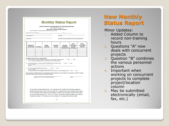|                     |        |                                                                                                                       | <b>Civil Rights Program</b><br><b>Monthly Trainee Status Report</b>             |                                                                                                                   | SOUTH DAKOTA DEPARTMENT OF TRANSPORTATION                                       |                                                                                                                                                                                                                                                                                                                                                                                |
|---------------------|--------|-----------------------------------------------------------------------------------------------------------------------|---------------------------------------------------------------------------------|-------------------------------------------------------------------------------------------------------------------|---------------------------------------------------------------------------------|--------------------------------------------------------------------------------------------------------------------------------------------------------------------------------------------------------------------------------------------------------------------------------------------------------------------------------------------------------------------------------|
|                     |        | THIS PORTION IS TO BE COMPLETED BY CONTRACTOR                                                                         |                                                                                 |                                                                                                                   |                                                                                 |                                                                                                                                                                                                                                                                                                                                                                                |
|                     |        | <b>Report for Period Ending Committee Act of Act of Act of Act of Act of Act of Act of Act of Act of Act of Act o</b> |                                                                                 | 20                                                                                                                |                                                                                 |                                                                                                                                                                                                                                                                                                                                                                                |
| <b>Trainee Name</b> |        |                                                                                                                       | Job Title                                                                       |                                                                                                                   |                                                                                 |                                                                                                                                                                                                                                                                                                                                                                                |
|                     |        |                                                                                                                       |                                                                                 |                                                                                                                   |                                                                                 |                                                                                                                                                                                                                                                                                                                                                                                |
| <b>PROJECT/</b>     |        | <b>WEEK</b>                                                                                                           | <b>HOURLY</b>                                                                   | <b>HOURS</b>                                                                                                      | NON-<br><b>TRAINING</b>                                                         | <b>TOTAL</b><br><b>ACCRUED</b><br><b>HOURS</b>                                                                                                                                                                                                                                                                                                                                 |
|                     |        |                                                                                                                       |                                                                                 |                                                                                                                   |                                                                                 |                                                                                                                                                                                                                                                                                                                                                                                |
|                     |        |                                                                                                                       |                                                                                 |                                                                                                                   |                                                                                 |                                                                                                                                                                                                                                                                                                                                                                                |
|                     |        |                                                                                                                       |                                                                                 |                                                                                                                   |                                                                                 |                                                                                                                                                                                                                                                                                                                                                                                |
|                     |        |                                                                                                                       |                                                                                 |                                                                                                                   |                                                                                 |                                                                                                                                                                                                                                                                                                                                                                                |
|                     |        | Special Provision and the Approved Training Program.                                                                  |                                                                                 | This company certifies that it has provided supervised training as reported above in accordance with the Training |                                                                                 |                                                                                                                                                                                                                                                                                                                                                                                |
|                     |        |                                                                                                                       |                                                                                 |                                                                                                                   |                                                                                 |                                                                                                                                                                                                                                                                                                                                                                                |
|                     |        | Signature of Person Preparing Report                                                                                  |                                                                                 |                                                                                                                   | Date                                                                            |                                                                                                                                                                                                                                                                                                                                                                                |
|                     |        |                                                                                                                       |                                                                                 |                                                                                                                   |                                                                                 |                                                                                                                                                                                                                                                                                                                                                                                |
|                     | Reason | <b>LOCATION PAYROLL</b><br>If "Yes", date?                                                                            | <b>ENDING</b><br><b>Complete these items as appropriate:</b><br>If "Yes", date? | <b>WAGE</b><br>C. Has trainee graduated? (check one) [ ] Yes [ ] No                                               | <b>WORKED</b><br>If "Yes", please separate hours by project in the table above. | Project Number(s)/PCN(s) of Trainee Registration<br><b>HOURS</b><br><b>Total hours from Last Report</b><br>A. Is the trainee working multiple projects concurrently? (check one) [ ] Yes [ ] No<br>B. Has trainee been transferred/laid off/quit/fired? (check one) [ ] Yes [ ] No<br>Is the graduate now employed with your firm at journey level? (check one) [ ] Yes [ ] No |

### **New Monthly Status Report**

Minor Updates:

- 1. Added Column to record non-training hours
- 2. Questions "A" now deals with concurrent projects
- 3. Question "B" combines the various personnel actions
- 4. Important when working on concurrent projects to complete project/location column
- 5. May be submitted electronically (email, fax, etc.)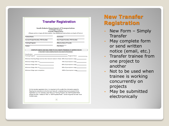### **Transfer Registration**

|                                                                                                             | South Dakota Department of Transportation                                                                                                                                                                                        |  |  |  |
|-------------------------------------------------------------------------------------------------------------|----------------------------------------------------------------------------------------------------------------------------------------------------------------------------------------------------------------------------------|--|--|--|
|                                                                                                             | <b>Civil Rights Program</b>                                                                                                                                                                                                      |  |  |  |
|                                                                                                             | <b>Transfer Registration</b>                                                                                                                                                                                                     |  |  |  |
|                                                                                                             | (Please print or type all information. See additional instructions on back of form.)                                                                                                                                             |  |  |  |
| <b>Trainee Name</b>                                                                                         | Contractor                                                                                                                                                                                                                       |  |  |  |
| <b>Current Project Number, PCN Number</b>                                                                   | New Project Number, PCN Number                                                                                                                                                                                                   |  |  |  |
| <b>Training Program</b>                                                                                     | <b>Effective Date of Transfer</b>                                                                                                                                                                                                |  |  |  |
| <b>Trainer</b>                                                                                              | <b>Prior Hours</b>                                                                                                                                                                                                               |  |  |  |
|                                                                                                             | <b>COMPLETE ABOVE AND MAIL FORM TO CIVIL RIGHTS PROGRAM AT ADDRESS BELOW</b>                                                                                                                                                     |  |  |  |
|                                                                                                             | THIS PART TO BE COMPLETED BY CIVIL RIGHTS PROGRAM                                                                                                                                                                                |  |  |  |
| Classification<br>the control of the control of the control of the control of the control of the control of |                                                                                                                                                                                                                                  |  |  |  |
| <b>Training Program</b>                                                                                     | <b>Example 2018 Program Hours Contract Contract Contract Contract Contract Contract Contract Contract Contract Contract Contract Contract Contract Contract Contract Contract Contract Contract Contract Contract Contract C</b> |  |  |  |
|                                                                                                             | Minimum Starting Wage (not less than General Laborer's Rate) 60% of journeyman wage                                                                                                                                              |  |  |  |
| Minimum Wage after $X =$                                                                                    | 70% of journeyman wage                                                                                                                                                                                                           |  |  |  |
| Minimum Wage after $Y_2$ =                                                                                  | 80% of journeyman wage                                                                                                                                                                                                           |  |  |  |

90% of journeyman wage\_

100% of journeyman wage

Minimum Wage after  $\frac{M}{n} =$ 

Minimum Wage upon completion

On this transfer registration form, it is important to fill out all of the information asked for. Reading the instructions to this form can help with understanding how to properly fill this registration out. For example, when filling out Training Program use "Self-Propelled Roller (except Hot Mix)" instead of "G02" or "Self-Propelled Roller." Some things like the roller have multiple types.

40

### **New Transfer Registration**

- New Form Simply Transfer
- May complete form or send written notice (email, etc.)
- Transfer trainee from one project to another
- Not to be used when trainee is working concurrently on projects
- May be submitted electronically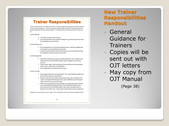### **Trainer Responsibilities**

The job of the Trainer is to make sure that the Trainee is receiving the proper training to achieve full journeyworker status. A Trainer has certain responsibilities to help the Trainee achieve the goals to graduate from the training program. The following are a few things that the Trainer can do:

#### As their Mentor:

- Let them know they can trust you.
- . Don't expect them to be great at the beginning. Not everyone will have the experience you have had.

### As their Supervisor:

- Encourage them to continue exceeding at work. Nothing is better than knowing you are exceeding at a new task.
- . Instead of yelling at them for everything they do wrong, tell them what the problem is and show them how to fix it.

#### As their Supporter:

- Show them that they can go to you with anything. They need to know that they have someone that will take care of situations out of their **control**
- Praise them! Again, telling someone how good they are doing makes them want to continue to do a great job.
- Encourage them to do their best every day.

#### As their Trainer

- Encourage them to try new equipment. This could help the project and allow them to get more experience.
- Be their Trainer! They need someone there who can show them "the ropes" during the first few days. Every job is different so don't expect them to know how you want it done.
- Make sure they get the proper training. As long as they are on the job vou should be training them and they should be learning from you. Don't just think they will be fine after a few days and leave them to figure it out on their own. They need someone they can ask questions.

\*Please print a copy and give to your Trainers. This will help them with what should be expected of them.\*

### **New Trainer Responsibilities Handout**

- General Guidance for **Trainers**
- Copies will be sent out with OJT letters
- May copy from OJT Manual

(Page 38)

38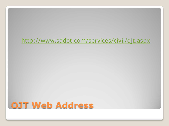## <http://www.sddot.com/services/civil/ojt.aspx>

## **OJT Web Address**